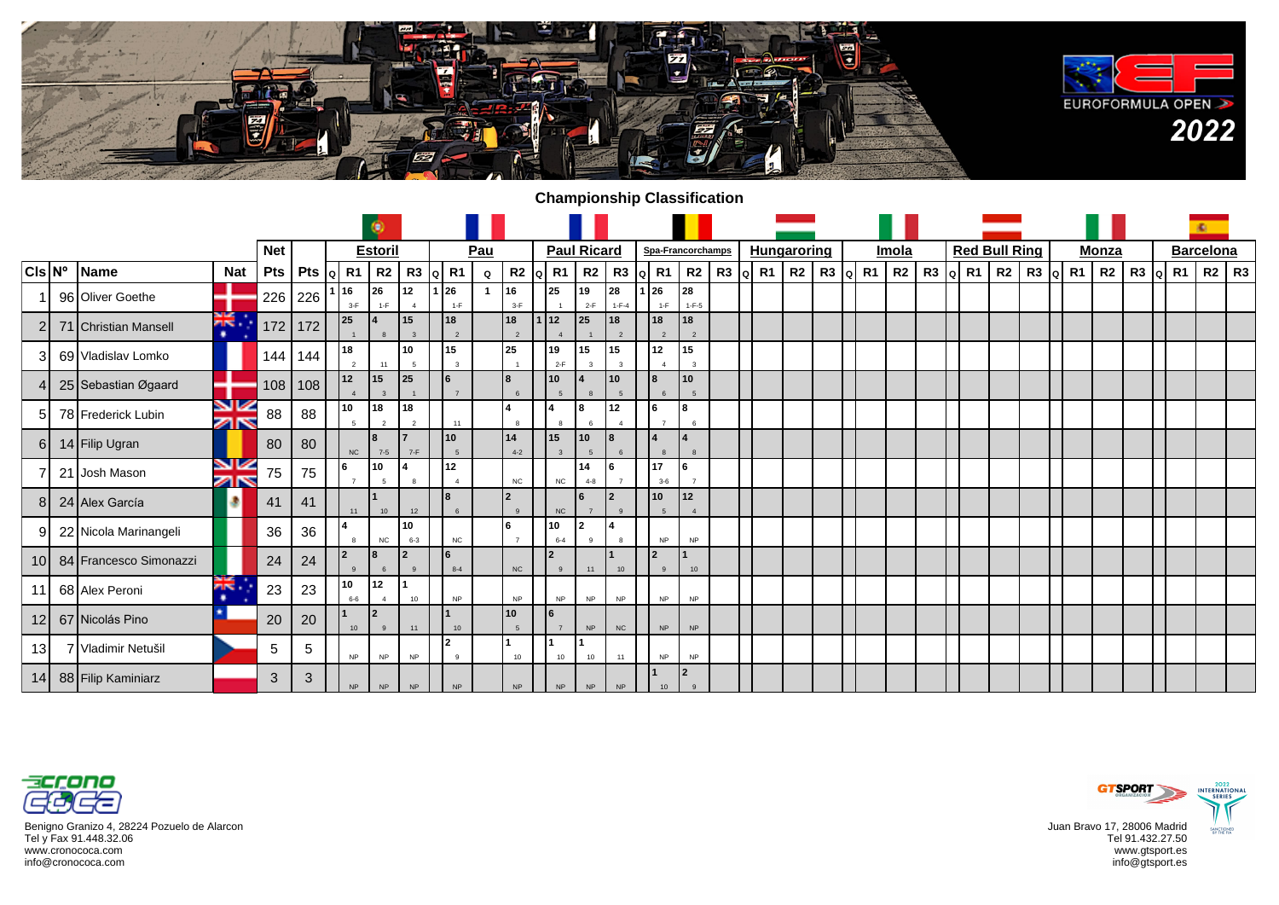

## **Championship Classification**

|                  |                        |                  |            |                                |                      | ۵                      |                      |                      |     |                                |                    |                    |                      |                          |                                |      |                        |    |           |       |  |                      |    |    |          |              |                    |  | ×.               |  |
|------------------|------------------------|------------------|------------|--------------------------------|----------------------|------------------------|----------------------|----------------------|-----|--------------------------------|--------------------|--------------------|----------------------|--------------------------|--------------------------------|------|------------------------|----|-----------|-------|--|----------------------|----|----|----------|--------------|--------------------|--|------------------|--|
|                  |                        |                  | <b>Net</b> |                                |                      | <b>Estoril</b>         |                      |                      | Pau |                                |                    | <b>Paul Ricard</b> |                      |                          | Spa-Francorchamps              |      | <b>Hungaroring</b>     |    |           | Imola |  | <b>Red Bull Ring</b> |    |    |          | <b>Monza</b> |                    |  | <b>Barcelona</b> |  |
| $ CIs N^{\circ}$ | <b>IName</b>           | <b>Nat</b>       | <b>Pts</b> | Pts $\left  \alpha \right $ R1 |                      |                        | $R2$ R3              | R <sub>1</sub><br>IQ | Q   | $R2$ Q R1                      |                    | R <sub>2</sub>     | R3                   | R <sub>1</sub><br>۱Q۱    | R2                             | R3 q | <b>R1</b><br><b>R2</b> | R3 | R1<br>lol | R2    |  | $R3$ Q R1            | R2 | R3 | $ a $ R1 | R2           | $R3$ $\alpha$ $R1$ |  | R2   R3          |  |
|                  | 96 Oliver Goethe       |                  | 226        | 226                            | 16<br>$3-F$          | 26<br>$1-F$            | 12<br>$\overline{4}$ | l 26<br>$1-F$        |     | 16<br>$3-F$                    | 25                 | 19<br>$2-F$        | 28<br>$1 - F - 4$    | 26<br>$1-F$              | 28<br>$1 - F - 5$              |      |                        |    |           |       |  |                      |    |    |          |              |                    |  |                  |  |
|                  | 71 Christian Mansell   | ăĶ.<br>٠         | 172        | 172                            | 25                   |                        | 15<br>$\mathbf{3}$   | 18<br>$\overline{2}$ |     | 18                             | 112                | 25                 | 18<br>$\overline{2}$ | 18<br>$\overline{2}$     | 18<br>$\overline{\phantom{a}}$ |      |                        |    |           |       |  |                      |    |    |          |              |                    |  |                  |  |
| 31               | 69 Vladislav Lomko     |                  | 144        | 144                            | 18<br>$\overline{2}$ |                        | 10<br>5              | 15<br>$\mathbf{3}$   |     | 25                             | 19<br>$2-F$        | 15                 | 15<br>$\mathbf{3}$   | 12                       | 15<br>$\mathbf{R}$             |      |                        |    |           |       |  |                      |    |    |          |              |                    |  |                  |  |
|                  | 25 Sebastian Øgaard    |                  | 108        | 108                            | 12                   | 15                     | 25                   | $\overline{7}$       |     | 8                              | 10                 |                    | 10 <sub>1</sub>      | <b>R</b>                 | <b>10</b><br>5                 |      |                        |    |           |       |  |                      |    |    |          |              |                    |  |                  |  |
| 51               | 78 Frederick Lubin     | VZ<br>ZK         | 88         | 88                             | 10<br>$\overline{5}$ | l 18<br>$\overline{2}$ | 18<br>2              | 11                   |     | 8                              | 8                  | 8<br>6             | 12<br>$\overline{4}$ | 6                        | l8<br>6                        |      |                        |    |           |       |  |                      |    |    |          |              |                    |  |                  |  |
| 6I               | 14 Filip Ugran         |                  | 80         | 80                             | NC                   | l8<br>$7 - 5$          | $7-F$                | 10<br>5              |     | 14<br>$4 - 2$                  | 15<br>$\mathbf{3}$ | 10<br>5            | $6 \overline{6}$     | $\mathbf{8}$             | $\mathbf{8}$                   |      |                        |    |           |       |  |                      |    |    |          |              |                    |  |                  |  |
|                  | 21 Josh Mason          | <b>SIZ</b><br>ØN | 75         | 75                             | l 6                  | 10                     |                      | 12                   |     | NC                             | NC                 | 14<br>$4 - 8$      |                      | 117<br>$3 - 6$           | l6                             |      |                        |    |           |       |  |                      |    |    |          |              |                    |  |                  |  |
| 81               | 24 Alex García         |                  | 41         | 41                             | 11                   | 10                     | 12                   | $6\overline{6}$      |     | $\overline{2}$<br>$\mathbf{Q}$ | NC                 | l 6                | l2<br>$\mathfrak{g}$ | 10<br>5                  | 12<br>$\Delta$                 |      |                        |    |           |       |  |                      |    |    |          |              |                    |  |                  |  |
| 91               | 22 Nicola Marinangeli  |                  | 36         | 36                             | $\mathbf{R}$         | NC                     | 10<br>$6 - 3$        | NC                   |     | 6                              | 10<br>$6 - 4$      | l 2<br>$\Omega$    |                      | <b>NP</b>                | <b>NP</b>                      |      |                        |    |           |       |  |                      |    |    |          |              |                    |  |                  |  |
| 10 <sup>1</sup>  | 84 Francesco Simonazzi |                  | 24         | 24                             | <u> 2</u>            | 18                     | l 2                  | 6<br>$8 - 4$         |     | NC                             | <u> 2</u>          | 11                 | 10                   | $\mathbf{r}$<br>$\alpha$ | 10                             |      |                        |    |           |       |  |                      |    |    |          |              |                    |  |                  |  |
| 11               | 68 Alex Peroni         | ⊶∝<br>ns.<br>۰   | 23         | 23                             | 10<br>$6-6$          | 12<br>$\overline{4}$   | 10                   | NP                   |     | NP                             | <b>NP</b>          | <b>NP</b>          | <b>NP</b>            | NP                       | NP                             |      |                        |    |           |       |  |                      |    |    |          |              |                    |  |                  |  |
| 12               | 67 Nicolás Pino        |                  | 20         | 20                             | 10                   | l2                     | 11                   | 10                   |     | 10<br>5                        | 6                  | <b>NP</b>          | <b>NC</b>            | <b>NP</b>                | <b>NP</b>                      |      |                        |    |           |       |  |                      |    |    |          |              |                    |  |                  |  |
| 13I              | 7 Vladimir Netušil     |                  | 5          | 5                              | <b>NP</b>            | <b>NP</b>              | <b>NP</b>            | $\bullet$<br>9       |     | 10                             | 10                 | 10                 | 11                   | <b>NP</b>                | NP                             |      |                        |    |           |       |  |                      |    |    |          |              |                    |  |                  |  |
|                  | 14 88 Filip Kaminiarz  |                  | 3          | $\mathbf{3}$                   | NP                   | <b>NP</b>              | NP                   | NP                   |     | $\sf NP$                       | $\sf NP$           | NP                 | NP                   | 10                       | 2<br>$\mathbf{g}$              |      |                        |    |           |       |  |                      |    |    |          |              |                    |  |                  |  |



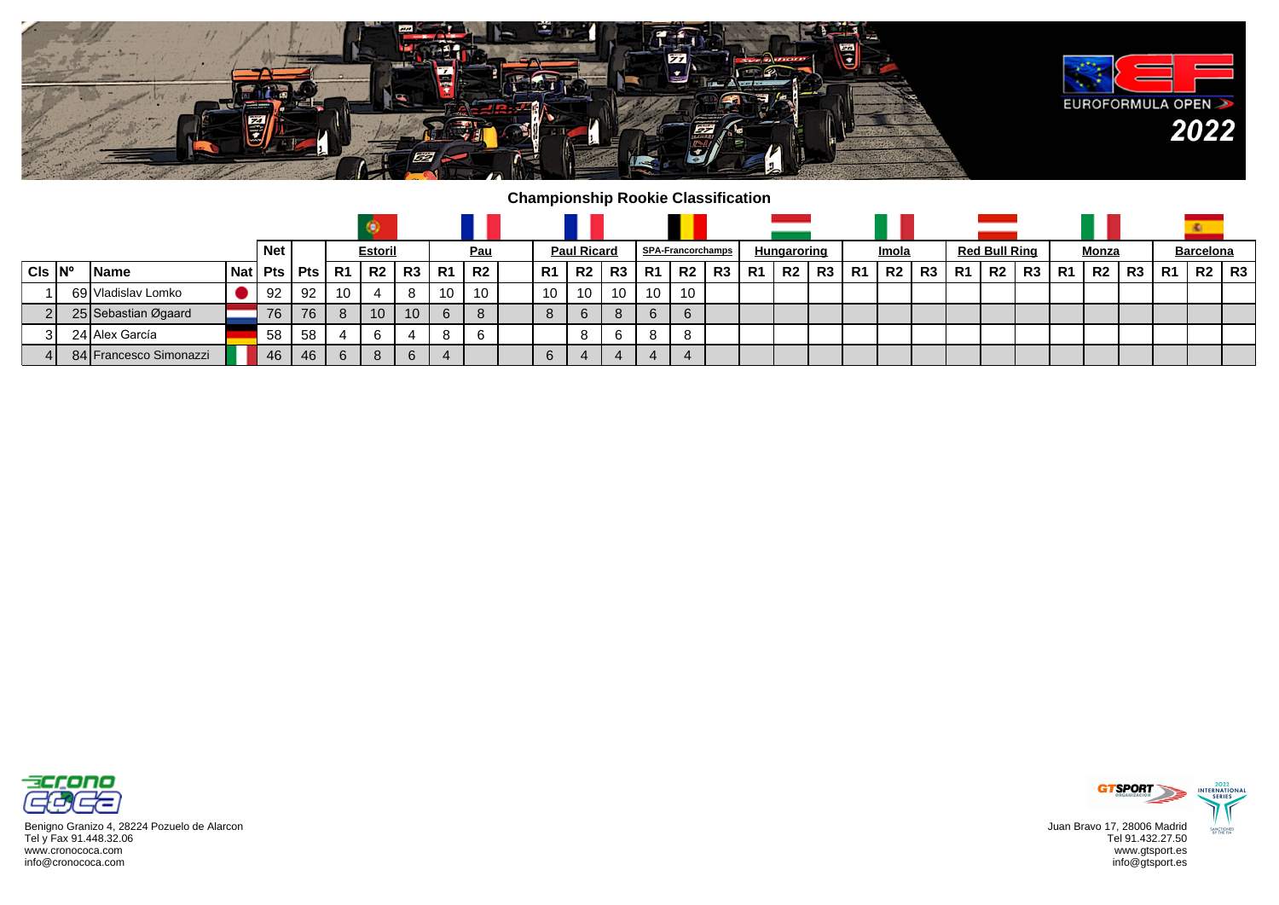

## **Championship Rookie Classification**

|                         |                        |            | <b>Net</b> |                |    | <b>Estoril</b> |    |           | <u>Pau</u> |         | <b>Paul Ricard</b> |    |           | <b>SPA-Francorchamps</b> |      |    | Hungaroring    |    |     | Imola     |    |           | <b>Red Bull Ring</b> |                 |    | Monza |    |                | <b>Barcelona</b> |    |
|-------------------------|------------------------|------------|------------|----------------|----|----------------|----|-----------|------------|---------|--------------------|----|-----------|--------------------------|------|----|----------------|----|-----|-----------|----|-----------|----------------------|-----------------|----|-------|----|----------------|------------------|----|
| $CIs$ $\vert N^{\circ}$ | l Name                 | <b>Nat</b> |            | $Pts$ Pts $R1$ |    | <b>R2</b>      | R3 | <b>R1</b> | R2         | . R1    | R2                 | R3 | <b>R1</b> | R <sub>2</sub>           | , R3 | R1 | R <sub>2</sub> | R3 | -R1 | <b>R2</b> | R3 | <b>R1</b> | R2                   | R3 <sub>1</sub> | R1 | R2    | R3 | R <sub>1</sub> | R2               | R3 |
|                         | 69 Vladislav Lomko     |            | 92         | 92             | 10 |                |    | . 10      | 10         | 10      | 10                 | 10 | 10        | 10                       |      |    |                |    |     |           |    |           |                      |                 |    |       |    |                |                  |    |
|                         | 25 Sebastian Øgaard    |            | 76         | 76             | 8  | 10             | 10 | 6         |            | $\circ$ | 6                  | 8  | 6         | 6                        |      |    |                |    |     |           |    |           |                      |                 |    |       |    |                |                  |    |
| 31                      | 24 Alex García         |            | -58        | -58            |    |                | 4  | 8         |            |         |                    | 6  | 8         | 8                        |      |    |                |    |     |           |    |           |                      |                 |    |       |    |                |                  |    |
|                         | 84 Francesco Simonazzi |            | 46         | 46             | 6  | 8              | 6  |           |            | b       | $\overline{a}$     |    |           | $\boldsymbol{\Delta}$    |      |    |                |    |     |           |    |           |                      |                 |    |       |    |                |                  |    |



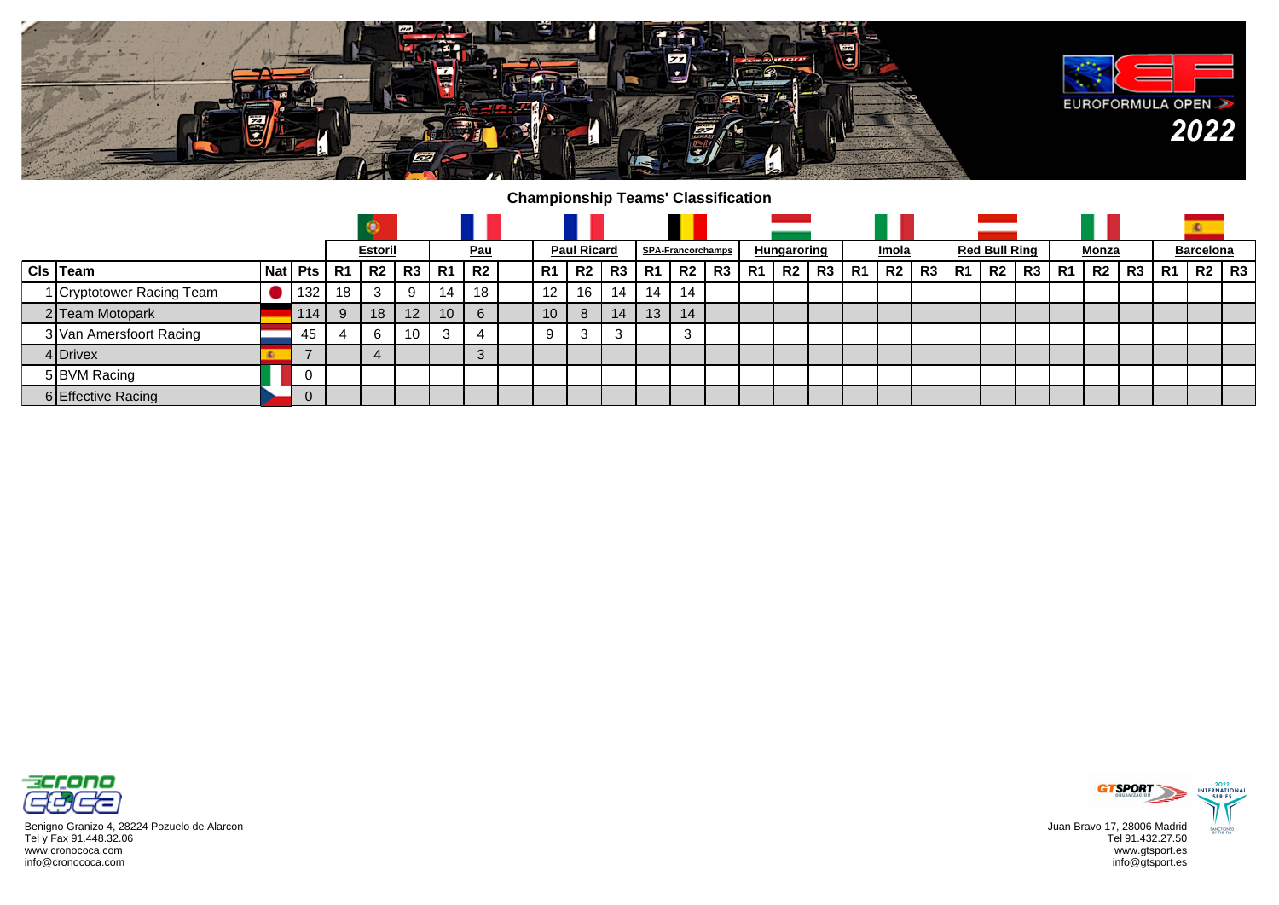

## **Championship Teams' Classification**

|                           |  |              |           | <b>Estoril</b> |                 |                 | <b>Pau</b> |                 | <b>Paul Ricard</b> |                |                | <b>SPA-Francorchamps</b> |    |                | <u>Hungaroring</u> |                |    | Imola |    |    | <b>Red Bull Ring</b> |    |                | <u>Monza</u>   |    |    | <b>Barcelona</b> |    |
|---------------------------|--|--------------|-----------|----------------|-----------------|-----------------|------------|-----------------|--------------------|----------------|----------------|--------------------------|----|----------------|--------------------|----------------|----|-------|----|----|----------------------|----|----------------|----------------|----|----|------------------|----|
| Cls Team                  |  | Nat   Pts    | <b>R1</b> | ' R2           | R3              | R1              | R2         | R1              | R <sub>2</sub>     | R <sub>3</sub> | R <sub>1</sub> | R <sub>2</sub>           | R3 | R <sub>1</sub> | R <sub>2</sub>     | R <sub>3</sub> | R1 | -R2 I | R3 | R1 | R2                   | R3 | R <sub>1</sub> | R <sub>2</sub> | R3 | R1 | R2               | R3 |
| 1 Cryptotower Racing Team |  | 132          | 18        | 3              | 9               | 4               | 18         | 12              | 16                 | 14             | 14             | 14                       |    |                |                    |                |    |       |    |    |                      |    |                |                |    |    |                  |    |
| 2 Team Motopark           |  | 114          | 9         | 18             | 12 <sup>°</sup> | 10 <sup>1</sup> | 6          | 10 <sup>°</sup> | 8                  | 14             | 13             | 14                       |    |                |                    |                |    |       |    |    |                      |    |                |                |    |    |                  |    |
| 3 Van Amersfoort Racing   |  | 45           |           |                | 10              | ີ               |            | 9               | $\sim$<br>C.       | 3              |                | 3                        |    |                |                    |                |    |       |    |    |                      |    |                |                |    |    |                  |    |
| 4 Drivex                  |  |              |           |                |                 |                 | ು          |                 |                    |                |                |                          |    |                |                    |                |    |       |    |    |                      |    |                |                |    |    |                  |    |
| 5 BVM Racing              |  | - 0          |           |                |                 |                 |            |                 |                    |                |                |                          |    |                |                    |                |    |       |    |    |                      |    |                |                |    |    |                  |    |
| 6 Effective Racing        |  | $\mathbf{0}$ |           |                |                 |                 |            |                 |                    |                |                |                          |    |                |                    |                |    |       |    |    |                      |    |                |                |    |    |                  |    |



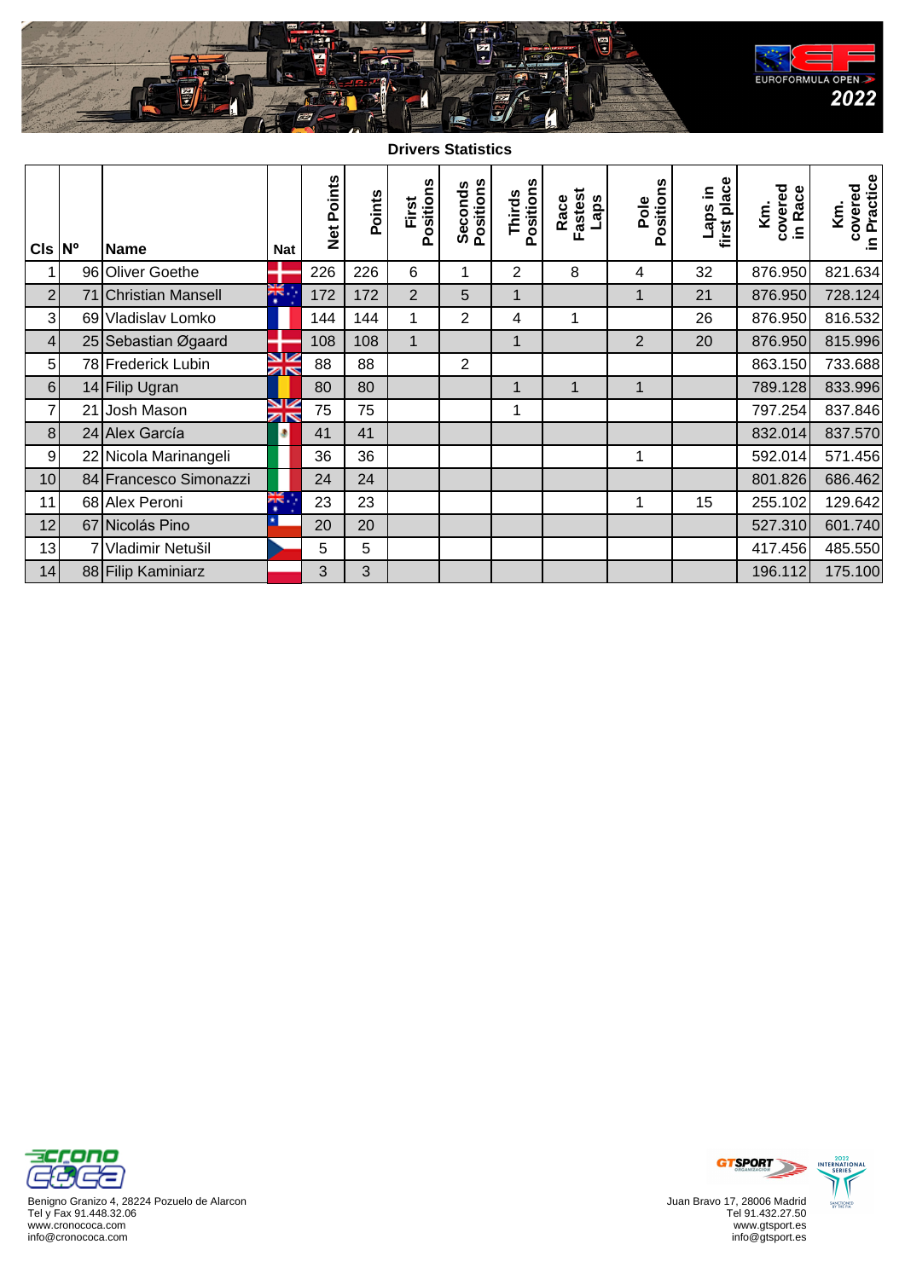

**Drivers Statistics**

| $CIs \,  N^{\circ} $ |    | <b>Name</b>            | <b>Nat</b>          | Net Points | Points | Positions<br>First | Seconds<br>Positions | Positions<br>Thirds | Fastest<br>Race<br>Laps | Positions<br>Pole | first place<br>ui sde <sub>T</sub> | covered<br>in Race<br>Κ'n. | covered<br>in Practice<br>Κë. |
|----------------------|----|------------------------|---------------------|------------|--------|--------------------|----------------------|---------------------|-------------------------|-------------------|------------------------------------|----------------------------|-------------------------------|
| $\mathbf{1}$         |    | 96 Oliver Goethe       |                     | 226        | 226    | 6                  | $\mathbf 1$          | $\overline{2}$      | 8                       | 4                 | 32                                 | 876.950                    | 821.634                       |
| $\overline{2}$       |    | 71 Christian Mansell   | ж.                  | 172        | 172    | $\overline{2}$     | 5                    | 1                   |                         | 1                 | 21                                 | 876.950                    | 728.124                       |
| $\overline{3}$       |    | 69 Vladislav Lomko     |                     | 144        | 144    | 1                  | $\overline{2}$       | 4                   | 1                       |                   | 26                                 | 876.950                    | 816.532                       |
| $\vert 4 \vert$      |    | 25 Sebastian Øgaard    |                     | 108        | 108    | $\mathbf{1}$       |                      | 1                   |                         | $\overline{2}$    | 20                                 | 876.950                    | 815.996                       |
| 5 <sup>1</sup>       |    | 78 Frederick Lubin     | V<br>ar             | 88         | 88     |                    | $\overline{2}$       |                     |                         |                   |                                    | 863.150                    | 733.688                       |
| 6 <sup>1</sup>       |    | 14 Filip Ugran         |                     | 80         | 80     |                    |                      | 1                   | $\mathbf{1}$            | 1                 |                                    | 789.128                    | 833.996                       |
| $\overline{7}$       | 21 | Josh Mason             | V<br>$\overline{z}$ | 75         | 75     |                    |                      | 1                   |                         |                   |                                    | 797.254                    | 837.846                       |
| 8 <sup>1</sup>       |    | 24 Alex García         | ۵                   | 41         | 41     |                    |                      |                     |                         |                   |                                    | 832.014                    | 837.570                       |
| 9                    |    | 22 Nicola Marinangeli  |                     | 36         | 36     |                    |                      |                     |                         | 1                 |                                    | 592.014                    | 571.456                       |
| 10                   |    | 84 Francesco Simonazzi |                     | 24         | 24     |                    |                      |                     |                         |                   |                                    | 801.826                    | 686.462                       |
| 11                   |    | 68 Alex Peroni         | ¥Ķ.<br>٠            | 23         | 23     |                    |                      |                     |                         | 1                 | 15                                 | 255.102                    | 129.642                       |
| 12                   |    | 67 Nicolás Pino        |                     | 20         | 20     |                    |                      |                     |                         |                   |                                    | 527.310                    | 601.740                       |
| 13                   |    | Vladimir Netušil       |                     | 5          | 5      |                    |                      |                     |                         |                   |                                    | 417.456                    | 485.550                       |
| 14                   |    | 88 Filip Kaminiarz     |                     | 3          | 3      |                    |                      |                     |                         |                   |                                    | 196.112                    | 175.100                       |



Benigno Granizo 4, 28224 Pozuelo de Alarcon Tel y Fax 91.448.32.06 www.cronococa.com info@cronococa.com



Juan Bravo 17, 28006 Madrid Tel 91.432.27.50 www.gtsport.es info@gtsport.es



2022